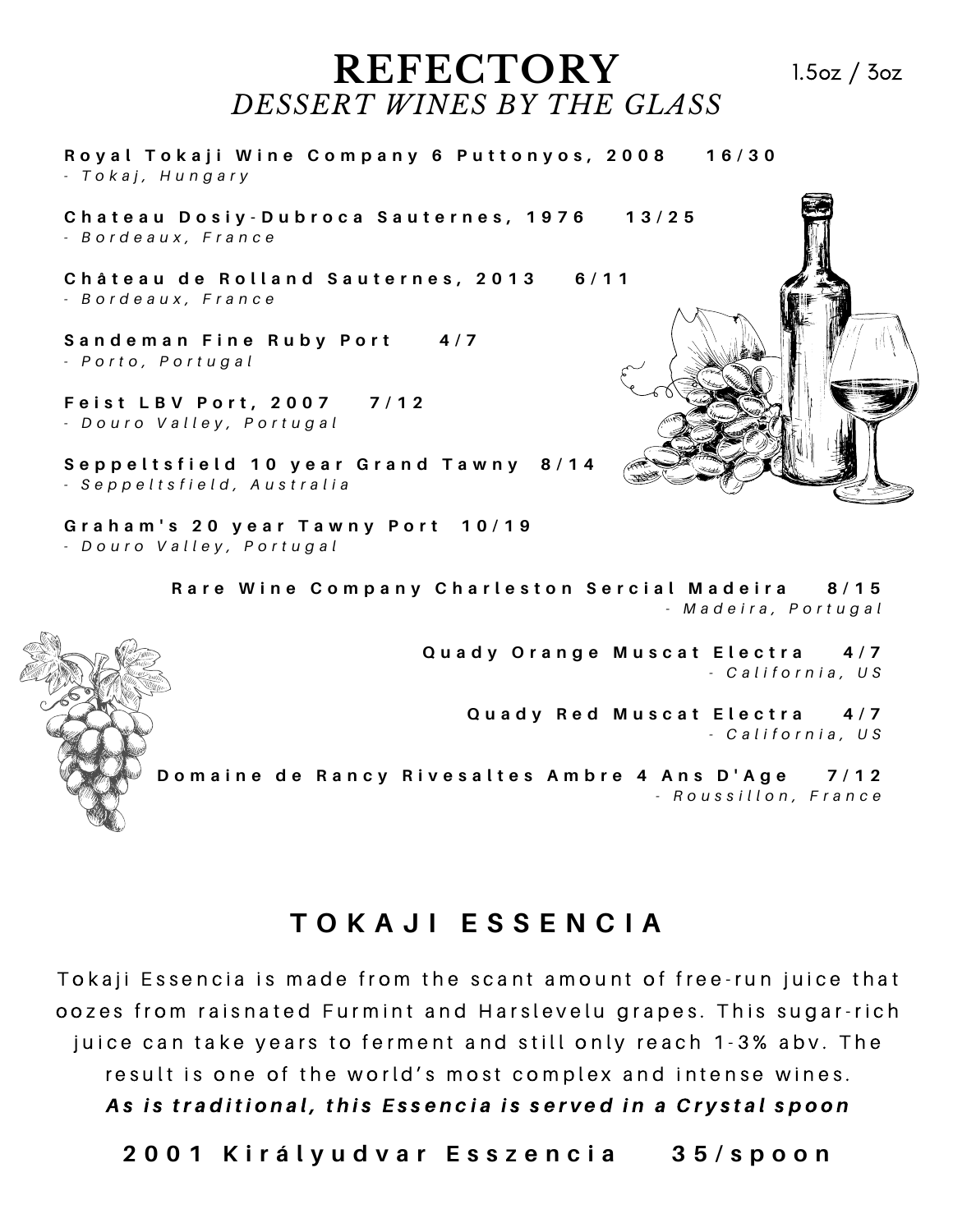## **REFECTORY** *DESSERT WINES BY THE GLASS*

Royal Tokaji Wine Company 6 Puttonyos, 2008 16/30 *- T o k a j , H u n g a r y*

Chateau Dosiy-Dubroca Sauternes, 1976 13/25 *- B o r d e a u x , F r a n c e*

Château de Rolland Sauternes, 2013 6/11 *- B o r d e a u x , F r a n c e*

**S a n d e m a n F i n e R u b y P o r t 4 / 7** *- P o r t o , P o r t u g a l*

**F e i s t L B V P o r t , 2 0 0 7 7 / 1 2** *- D o u r o V a l l e y , P o r t u g a l*

Seppeltsfield 10 year Grand Tawny 8/14 *- S e p p e l t s f i e l d , A u s t r a l i a*

Graham's 20 year Tawny Port 10/19 *- D o u r o V a l l e y , P o r t u g a l*

> Rare Wine Company Charleston Sercial Madeira 8/15 *- M a d e i r a , P o r t u g a l*

> > Quady Orange Muscat Electra 4/7 *- C a l i f o r n i a , U S*

> > > **Q u a d y R e d M u s c a t E l e c t r a 4 / 7** *- C a l i f o r n i a , U S*

Domaine de Rancy Rivesaltes Ambre 4 Ans D'Age 7/12 *- R o u s s i l l o n , F r a n c e*

## **T O K A J I E S S E N C I A**

Tokaji Essencia is made from the scant amount of free-run juice that oozes from raisnated Furmint and Harslevelu grapes. This sugar-rich juice can take years to ferment and still only reach 1–3% abv. The result is one of the world's most complex and intense wines. As is traditional, this Essencia is served in a Crystal spoon

2001 Királyudvar Esszencia 35/spoon





1.5oz / 3oz